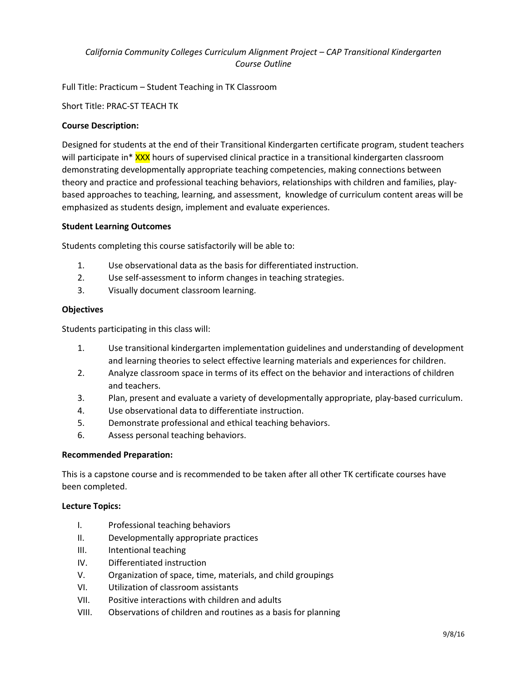# *California Community Colleges Curriculum Alignment Project – CAP Transitional Kindergarten Course Outline*

Full Title: Practicum – Student Teaching in TK Classroom

Short Title: PRAC-ST TEACH TK

### **Course Description:**

Designed for students at the end of their Transitional Kindergarten certificate program, student teachers will participate in\* XXX hours of supervised clinical practice in a transitional kindergarten classroom demonstrating developmentally appropriate teaching competencies, making connections between theory and practice and professional teaching behaviors, relationships with children and families, playbased approaches to teaching, learning, and assessment, knowledge of curriculum content areas will be emphasized as students design, implement and evaluate experiences.

#### **Student Learning Outcomes**

Students completing this course satisfactorily will be able to:

- 1. Use observational data as the basis for differentiated instruction.
- 2. Use self-assessment to inform changes in teaching strategies.
- 3. Visually document classroom learning.

#### **Objectives**

Students participating in this class will:

- 1. Use transitional kindergarten implementation guidelines and understanding of development and learning theories to select effective learning materials and experiences for children.
- 2. Analyze classroom space in terms of its effect on the behavior and interactions of children and teachers.
- 3. Plan, present and evaluate a variety of developmentally appropriate, play-based curriculum.
- 4. Use observational data to differentiate instruction.
- 5. Demonstrate professional and ethical teaching behaviors.
- 6. Assess personal teaching behaviors.

#### **Recommended Preparation:**

This is a capstone course and is recommended to be taken after all other TK certificate courses have been completed.

#### **Lecture Topics:**

- I. Professional teaching behaviors
- II. Developmentally appropriate practices
- III. Intentional teaching
- IV. Differentiated instruction
- V. Organization of space, time, materials, and child groupings
- VI. Utilization of classroom assistants
- VII. Positive interactions with children and adults
- VIII. Observations of children and routines as a basis for planning